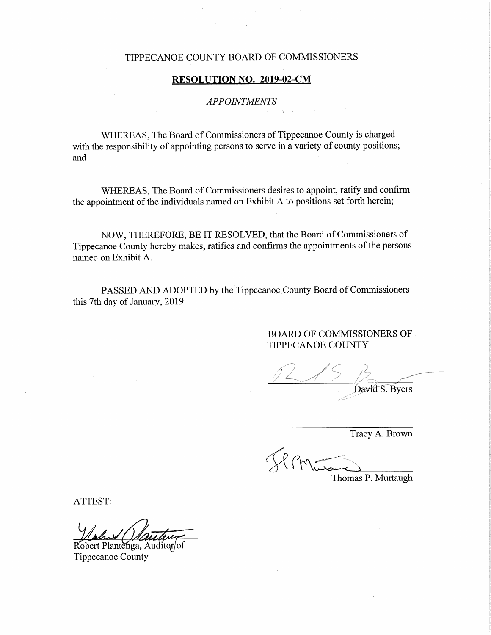### TIPPECANOE COUNTY BOARD OF COMMISSIONERS

## RESOLUTION NO. 2019-0g-CM

## APPOINTMENTS

WHEREAS, The Board of Commissioners of Tippecanoe County is charged with the responsibility of appointing persons to serve in a variety of county positions; and

WHEREAS, The Board of Commissioners desires to appoint, ratify and confirm the appointment of the individuals named on Exhibit <sup>A</sup> to positions set forth herein;

NOW, THEREFORE, BE IT RESOLVED, that the Board of Commissioners of Tippecanoe County hereby makes, ratifies and confirms the appointments of the persons named on Exhibit A.

PASSED AND ADOPTED by the Tippecanoe County Board of Commissioners this 7th day of January, 2019.

> BOARD OF COMMISSIONERS OF TIPPECANOE COUNTY

David S. Byers

Tracy A. Brown

Thomas P. Murtaugh

ATTEST:

Robert Plantenga, Auditor/of Tippecanoe County